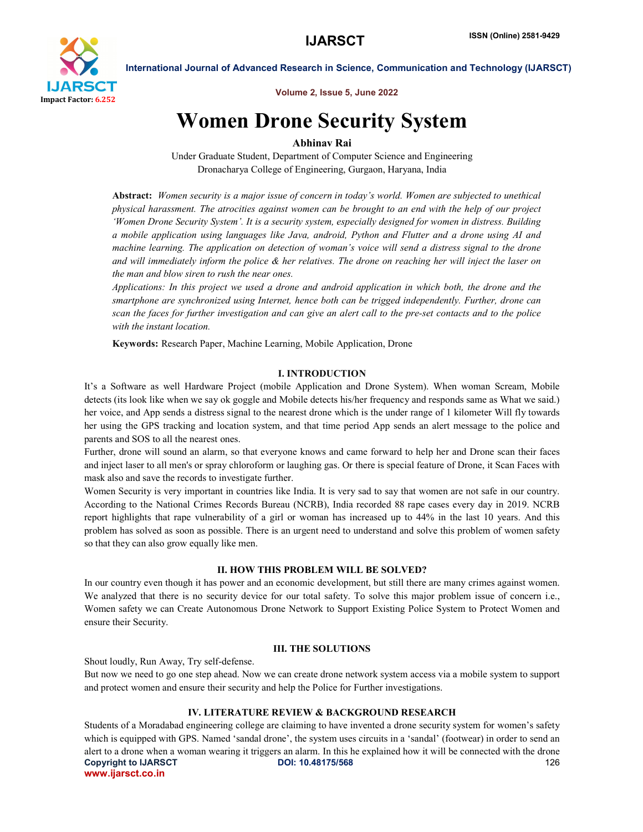

Volume 2, Issue 5, June 2022

# Women Drone Security System

### Abhinav Rai

Under Graduate Student, Department of Computer Science and Engineering Dronacharya College of Engineering, Gurgaon, Haryana, India

Abstract: *Women security is a major issue of concern in today's world. Women are subjected to unethical physical harassment. The atrocities against women can be brought to an end with the help of our project 'Women Drone Security System'. It is a security system, especially designed for women in distress. Building a mobile application using languages like Java, android, Python and Flutter and a drone using AI and machine learning. The application on detection of woman's voice will send a distress signal to the drone and will immediately inform the police & her relatives. The drone on reaching her will inject the laser on the man and blow siren to rush the near ones.*

*Applications: In this project we used a drone and android application in which both, the drone and the smartphone are synchronized using Internet, hence both can be trigged independently. Further, drone can scan the faces for further investigation and can give an alert call to the pre-set contacts and to the police with the instant location.*

Keywords: Research Paper, Machine Learning, Mobile Application, Drone

#### I. INTRODUCTION

It's a Software as well Hardware Project (mobile Application and Drone System). When woman Scream, Mobile detects (its look like when we say ok goggle and Mobile detects his/her frequency and responds same as What we said.) her voice, and App sends a distress signal to the nearest drone which is the under range of 1 kilometer Will fly towards her using the GPS tracking and location system, and that time period App sends an alert message to the police and parents and SOS to all the nearest ones.

Further, drone will sound an alarm, so that everyone knows and came forward to help her and Drone scan their faces and inject laser to all men's or spray chloroform or laughing gas. Or there is special feature of Drone, it Scan Faces with mask also and save the records to investigate further.

Women Security is very important in countries like India. It is very sad to say that women are not safe in our country. According to the National Crimes Records Bureau (NCRB), India recorded 88 rape cases every day in 2019. NCRB report highlights that rape vulnerability of a girl or woman has increased up to 44% in the last 10 years. And this problem has solved as soon as possible. There is an urgent need to understand and solve this problem of women safety so that they can also grow equally like men.

#### II. HOW THIS PROBLEM WILL BE SOLVED?

In our country even though it has power and an economic development, but still there are many crimes against women. We analyzed that there is no security device for our total safety. To solve this major problem issue of concern i.e., Women safety we can Create Autonomous Drone Network to Support Existing Police System to Protect Women and ensure their Security.

#### III. THE SOLUTIONS

Shout loudly, Run Away, Try self-defense.

But now we need to go one step ahead. Now we can create drone network system access via a mobile system to support and protect women and ensure their security and help the Police for Further investigations.

#### IV. LITERATURE REVIEW & BACKGROUND RESEARCH

Copyright to IJARSCT DOI: 10.48175/568 **126** www.ijarsct.co.in Students of a Moradabad engineering college are claiming to have invented a drone security system for women's safety which is equipped with GPS. Named 'sandal drone', the system uses circuits in a 'sandal' (footwear) in order to send an alert to a drone when a woman wearing it triggers an alarm. In this he explained how it will be connected with the drone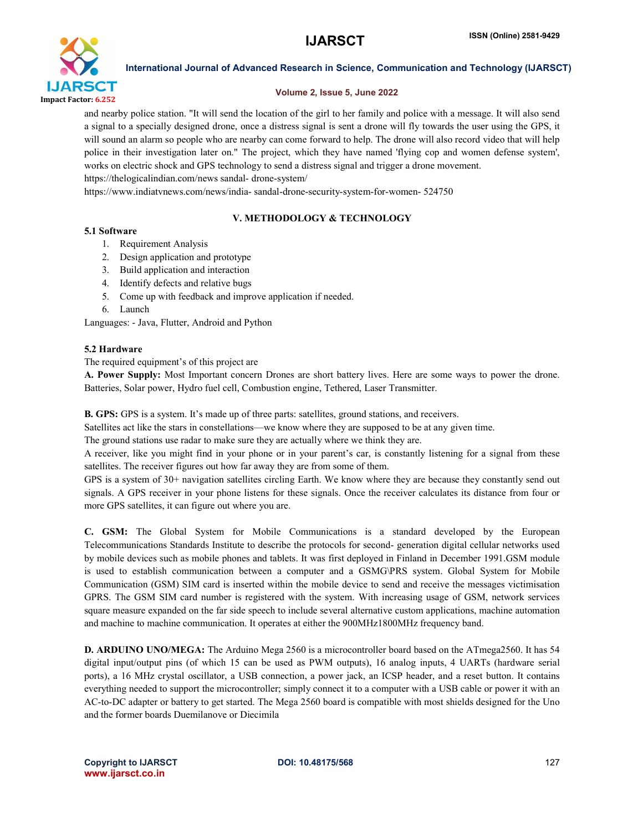

#### Volume 2, Issue 5, June 2022

and nearby police station. "It will send the location of the girl to her family and police with a message. It will also send a signal to a specially designed drone, once a distress signal is sent a drone will fly towards the user using the GPS, it will sound an alarm so people who are nearby can come forward to help. The drone will also record video that will help police in their investigation later on." The project, which they have named 'flying cop and women defense system', works on electric shock and GPS technology to send a distress signal and trigger a drone movement.

https://thelogicalindian.com/news sandal- drone-system/

https://www.indiatvnews.com/news/india- sandal-drone-security-system-for-women- 524750

### V. METHODOLOGY & TECHNOLOGY

### 5.1 Software

- 1. Requirement Analysis
- 2. Design application and prototype
- 3. Build application and interaction
- 4. Identify defects and relative bugs
- 5. Come up with feedback and improve application if needed.
- 6. Launch

Languages: - Java, Flutter, Android and Python

#### 5.2 Hardware

The required equipment's of this project are

A. Power Supply: Most Important concern Drones are short battery lives. Here are some ways to power the drone. Batteries, Solar power, Hydro fuel cell, Combustion engine, Tethered, Laser Transmitter.

B. GPS: GPS is a system. It's made up of three parts: satellites, ground stations, and receivers.

Satellites act like the stars in constellations—we know where they are supposed to be at any given time.

The ground stations use radar to make sure they are actually where we think they are.

A receiver, like you might find in your phone or in your parent's car, is constantly listening for a signal from these satellites. The receiver figures out how far away they are from some of them.

GPS is a system of 30+ navigation satellites circling Earth. We know where they are because they constantly send out signals. A GPS receiver in your phone listens for these signals. Once the receiver calculates its distance from four or more GPS satellites, it can figure out where you are.

C. GSM: The Global System for Mobile Communications is a standard developed by the European Telecommunications Standards Institute to describe the protocols for second- generation digital cellular networks used by mobile devices such as mobile phones and tablets. It was first deployed in Finland in December 1991.GSM module is used to establish communication between a computer and a GSMG\PRS system. Global System for Mobile Communication (GSM) SIM card is inserted within the mobile device to send and receive the messages victimisation GPRS. The GSM SIM card number is registered with the system. With increasing usage of GSM, network services square measure expanded on the far side speech to include several alternative custom applications, machine automation and machine to machine communication. It operates at either the 900MHz1800MHz frequency band.

D. ARDUINO UNO/MEGA: The Arduino Mega 2560 is a microcontroller board based on the ATmega2560. It has 54 digital input/output pins (of which 15 can be used as PWM outputs), 16 analog inputs, 4 UARTs (hardware serial ports), a 16 MHz crystal oscillator, a USB connection, a power jack, an ICSP header, and a reset button. It contains everything needed to support the microcontroller; simply connect it to a computer with a USB cable or power it with an AC-to-DC adapter or battery to get started. The Mega 2560 board is compatible with most shields designed for the Uno and the former boards Duemilanove or Diecimila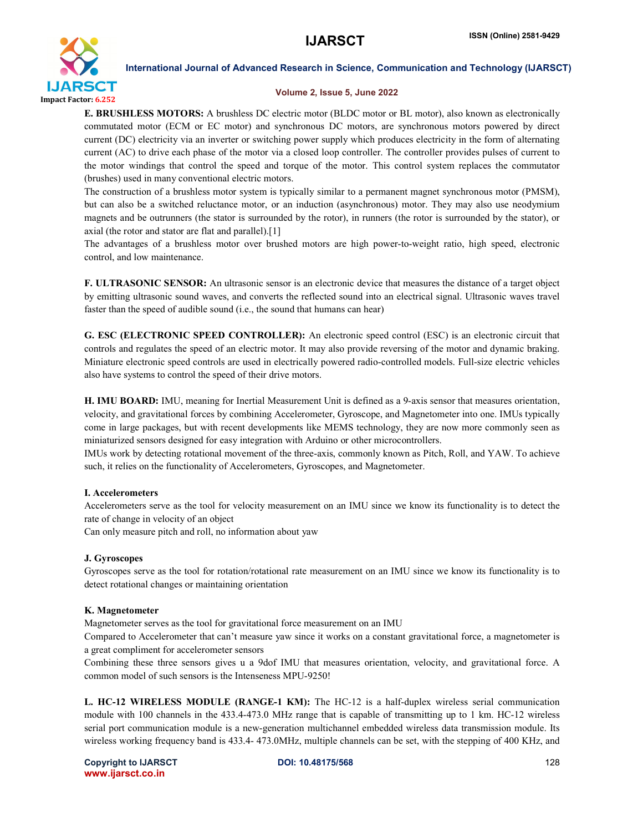

#### Volume 2, Issue 5, June 2022

**E. BRUSHLESS MOTORS:** A brushless DC electric motor (BLDC motor or BL motor), also known as electronically commutated motor (ECM or EC motor) and synchronous DC motors, are synchronous motors powered by direct current (DC) electricity via an inverter or switching power supply which produces electricity in the form of alternating current (AC) to drive each phase of the motor via a closed loop controller. The controller provides pulses of current to the motor windings that control the speed and torque of the motor. This control system replaces the commutator (brushes) used in many conventional electric motors.

The construction of a brushless motor system is typically similar to a permanent magnet synchronous motor (PMSM), but can also be a switched reluctance motor, or an induction (asynchronous) motor. They may also use neodymium magnets and be outrunners (the stator is surrounded by the rotor), in runners (the rotor is surrounded by the stator), or axial (the rotor and stator are flat and parallel).[1]

The advantages of a brushless motor over brushed motors are high power-to-weight ratio, high speed, electronic control, and low maintenance.

F. ULTRASONIC SENSOR: An ultrasonic sensor is an electronic device that measures the distance of a target object by emitting ultrasonic sound waves, and converts the reflected sound into an electrical signal. Ultrasonic waves travel faster than the speed of audible sound (i.e., the sound that humans can hear)

G. ESC (ELECTRONIC SPEED CONTROLLER): An electronic speed control (ESC) is an electronic circuit that controls and regulates the speed of an electric motor. It may also provide reversing of the motor and dynamic braking. Miniature electronic speed controls are used in electrically powered radio-controlled models. Full-size electric vehicles also have systems to control the speed of their drive motors.

H. IMU BOARD: IMU, meaning for Inertial Measurement Unit is defined as a 9-axis sensor that measures orientation, velocity, and gravitational forces by combining Accelerometer, Gyroscope, and Magnetometer into one. IMUs typically come in large packages, but with recent developments like MEMS technology, they are now more commonly seen as miniaturized sensors designed for easy integration with Arduino or other microcontrollers.

IMUs work by detecting rotational movement of the three-axis, commonly known as Pitch, Roll, and YAW. To achieve such, it relies on the functionality of Accelerometers, Gyroscopes, and Magnetometer.

#### I. Accelerometers

Accelerometers serve as the tool for velocity measurement on an IMU since we know its functionality is to detect the rate of change in velocity of an object

Can only measure pitch and roll, no information about yaw

#### J. Gyroscopes

Gyroscopes serve as the tool for rotation/rotational rate measurement on an IMU since we know its functionality is to detect rotational changes or maintaining orientation

#### K. Magnetometer

Magnetometer serves as the tool for gravitational force measurement on an IMU

Compared to Accelerometer that can't measure yaw since it works on a constant gravitational force, a magnetometer is a great compliment for accelerometer sensors

Combining these three sensors gives u a 9dof IMU that measures orientation, velocity, and gravitational force. A common model of such sensors is the Intenseness MPU-9250!

L. HC-12 WIRELESS MODULE (RANGE-1 KM): The HC-12 is a half-duplex wireless serial communication module with 100 channels in the 433.4-473.0 MHz range that is capable of transmitting up to 1 km. HC-12 wireless serial port communication module is a new-generation multichannel embedded wireless data transmission module. Its wireless working frequency band is 433.4- 473.0MHz, multiple channels can be set, with the stepping of 400 KHz, and

Copyright to IJARSCT DOI: 10.48175/568 **128** www.ijarsct.co.in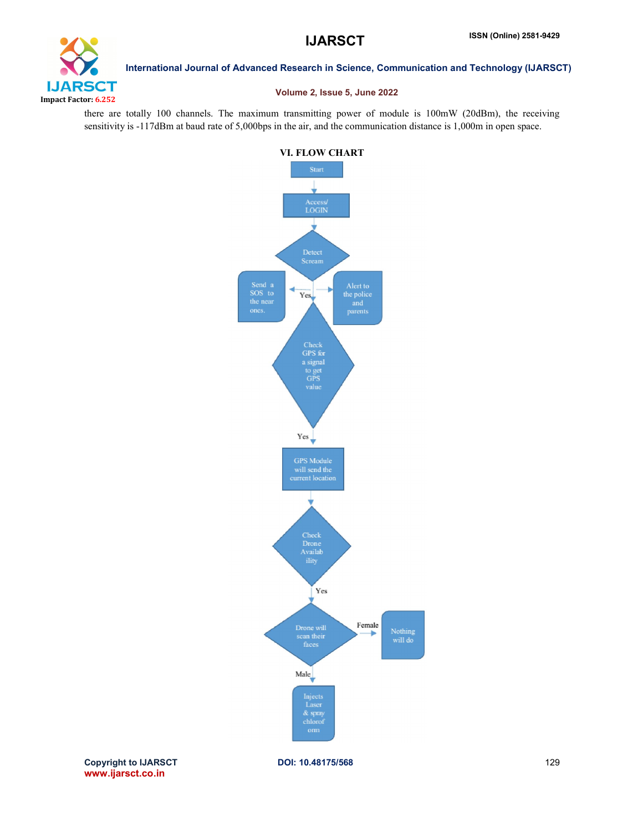

#### Volume 2, Issue 5, June 2022

there are totally 100 channels. The maximum transmitting power of module is 100mW (20dBm), the receiving sensitivity is -117dBm at baud rate of 5,000bps in the air, and the communication distance is 1,000m in open space.